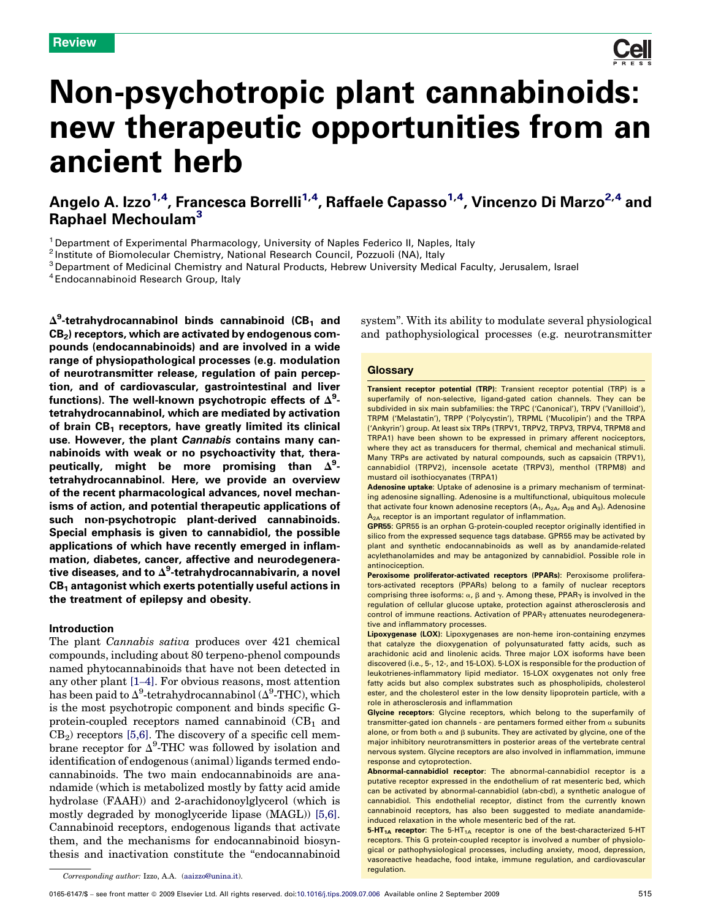

# Non-psychotropic plant cannabinoids: new therapeutic opportunities from an ancient herb

Angelo A. Izzo<sup>1,4</sup>, Francesca Borrelli<sup>1,4</sup>, Raffaele Capasso<sup>1,4</sup>, Vincenzo Di Marzo<sup>2,4</sup> and Raphael Mechoulam<sup>3</sup>

<sup>1</sup> Department of Experimental Pharmacology, University of Naples Federico II, Naples, Italy

2 Institute of Biomolecular Chemistry, National Research Council, Pozzuoli (NA), Italy

<sup>3</sup> Department of Medicinal Chemistry and Natural Products, Hebrew University Medical Faculty, Jerusalem, Israel

4 Endocannabinoid Research Group, Italy

 $\Delta^9$ -tetrahydrocannabinol binds cannabinoid (CB $_1$  and  $CB<sub>2</sub>$ ) receptors, which are activated by endogenous compounds (endocannabinoids) and are involved in a wide range of physiopathological processes (e.g. modulation of neurotransmitter release, regulation of pain perception, and of cardiovascular, gastrointestinal and liver functions). The well-known psychotropic effects of  $\Delta^9$ tetrahydrocannabinol, which are mediated by activation of brain  $CB_1$  receptors, have greatly limited its clinical use. However, the plant Cannabis contains many cannabinoids with weak or no psychoactivity that, therapeutically, might be more promising than  $\Delta^9$ tetrahydrocannabinol. Here, we provide an overview of the recent pharmacological advances, novel mechanisms of action, and potential therapeutic applications of such non-psychotropic plant-derived cannabinoids. Special emphasis is given to cannabidiol, the possible applications of which have recently emerged in inflammation, diabetes, cancer, affective and neurodegenerative diseases, and to  $\Delta^9$ -tetrahydrocannabivarin, a novel  $CB<sub>1</sub>$  antagonist which exerts potentially useful actions in the treatment of epilepsy and obesity.

# Introduction

The plant *Cannabis sativa* produces over 421 chemical compounds, including about 80 terpeno-phenol compounds named phytocannabinoids that have not been detected in any other plant [1–4]. For obvious reasons, most attention has been paid to  $\Delta^9$ -tetrahydrocannabinol ( $\Delta^9$ -THC), which is the most psychotropic component and binds specific Gprotein-coupled receptors named cannabinoid  $(CB<sub>1</sub>$  and  $CB<sub>2</sub>$ ) receptors [5,6]. The discovery of a specific cell membrane receptor for  $\Delta^9$ -THC was followed by isolation and identification of endogenous (animal) ligands termed endocannabinoids. The two main endocannabinoids are anandamide (which is metabolized mostly by fatty acid amide hydrolase (FAAH)) and 2-arachidonoylglycerol (which is mostly degraded by monoglyceride lipase (MAGL)) [5,6]. Cannabinoid receptors, endogenous ligands that activate them, and the mechanisms for endocannabinoid biosynthesis and inactivation constitute the ''endocannabinoid

system''. With its ability to modulate several physiological and pathophysiological processes (e.g. neurotransmitter

# **Glossary**

Transient receptor potential (TRP): Transient receptor potential (TRP) is a superfamily of non-selective, ligand-gated cation channels. They can be subdivided in six main subfamilies: the TRPC ('Canonical'), TRPV ('Vanilloid'), TRPM ('Melastatin'), TRPP ('Polycystin'), TRPML ('Mucolipin') and the TRPA ('Ankyrin') group. At least six TRPs (TRPV1, TRPV2, TRPV3, TRPV4, TRPM8 and TRPA1) have been shown to be expressed in primary afferent nociceptors, where they act as transducers for thermal, chemical and mechanical stimuli. Many TRPs are activated by natural compounds, such as capsaicin (TRPV1), cannabidiol (TRPV2), incensole acetate (TRPV3), menthol (TRPM8) and mustard oil isothiocyanates (TRPA1)

Adenosine uptake: Uptake of adenosine is a primary mechanism of terminating adenosine signalling. Adenosine is a multifunctional, ubiquitous molecule that activate four known adenosine receptors  $(A_1, A_{2A}, A_{2B}$  and  $A_3)$ . Adenosine A<sub>2A</sub> receptor is an important regulator of inflammation.

GPR55: GPR55 is an orphan G-protein-coupled receptor originally identified in silico from the expressed sequence tags database. GPR55 may be activated by plant and synthetic endocannabinoids as well as by anandamide-related acylethanolamides and may be antagonized by cannabidiol. Possible role in antinociception.

Peroxisome proliferator-activated receptors (PPARs): Peroxisome proliferators-activated receptors (PPARs) belong to a family of nuclear receptors comprising three isoforms:  $\alpha$ ,  $\beta$  and  $\gamma$ . Among these, PPAR $\gamma$  is involved in the regulation of cellular glucose uptake, protection against atherosclerosis and control of immune reactions. Activation of  $PPAR<sub>Y</sub>$  attenuates neurodegenerative and inflammatory processes.

Lipoxygenase (LOX): Lipoxygenases are non-heme iron-containing enzymes that catalyze the dioxygenation of polyunsaturated fatty acids, such as arachidonic acid and linolenic acids. Three major LOX isoforms have been discovered (i.e., 5-, 12-, and 15-LOX). 5-LOX is responsible for the production of leukotrienes-inflammatory lipid mediator. 15-LOX oxygenates not only free fatty acids but also complex substrates such as phospholipids, cholesterol ester, and the cholesterol ester in the low density lipoprotein particle, with a role in atherosclerosis and inflammation

Glycine receptors: Glycine receptors, which belong to the superfamily of transmitter-gated ion channels - are pentamers formed either from  $\alpha$  subunits alone, or from both  $\alpha$  and  $\beta$  subunits. They are activated by glycine, one of the major inhibitory neurotransmitters in posterior areas of the vertebrate central nervous system. Glycine receptors are also involved in inflammation, immune response and cytoprotection.

Abnormal-cannabidiol receptor: The abnormal-cannabidiol receptor is a putative receptor expressed in the endothelium of rat mesenteric bed, which can be activated by abnormal-cannabidiol (abn-cbd), a synthetic analogue of cannabidiol. This endothelial receptor, distinct from the currently known cannabinoid receptors, has also been suggested to mediate anandamideinduced relaxation in the whole mesenteric bed of the rat.

5-HT<sub>1A</sub> receptor: The 5-HT<sub>1A</sub> receptor is one of the best-characterized 5-HT receptors. This G protein-coupled receptor is involved a number of physiological or pathophysiological processes, including anxiety, mood, depression, vasoreactive headache, food intake, immune regulation, and cardiovascular regulation.

*Corresponding author:* Izzo, A.A. (aaizzo@unina.it).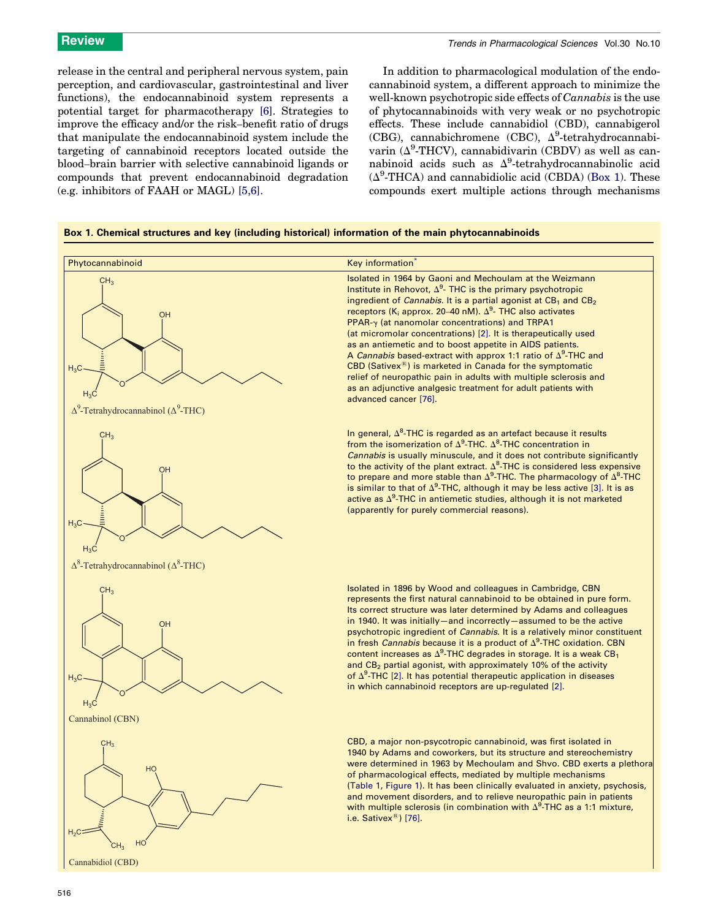release in the central and peripheral nervous system, pain perception, and cardiovascular, gastrointestinal and liver functions), the endocannabinoid system represents a potential target for pharmacotherapy [6]. Strategies to improve the efficacy and/or the risk–benefit ratio of drugs that manipulate the endocannabinoid system include the targeting of cannabinoid receptors located outside the blood–brain barrier with selective cannabinoid ligands or compounds that prevent endocannabinoid degradation (e.g. inhibitors of FAAH or MAGL) [5,6].

In addition to pharmacological modulation of the endocannabinoid system, a different approach to minimize the well-known psychotropic side effects of *Cannabis* is the use of phytocannabinoids with very weak or no psychotropic effects. These include cannabidiol (CBD), cannabigerol (CBG), cannabichromene (CBC),  $\Delta^9$ -tetrahydrocannabivarin  $(\Delta^9$ -THCV), cannabidivarin (CBDV) as well as cannabinoid acids such as  $\Delta^9$ -tetrahydrocannabinolic acid  $(\Delta^9\text{-THCA})$  and cannabidiolic acid (CBDA) (Box 1). These compounds exert multiple actions through mechanisms

# Box 1. Chemical structures and key (including historical) information of the main phytocannabinoids

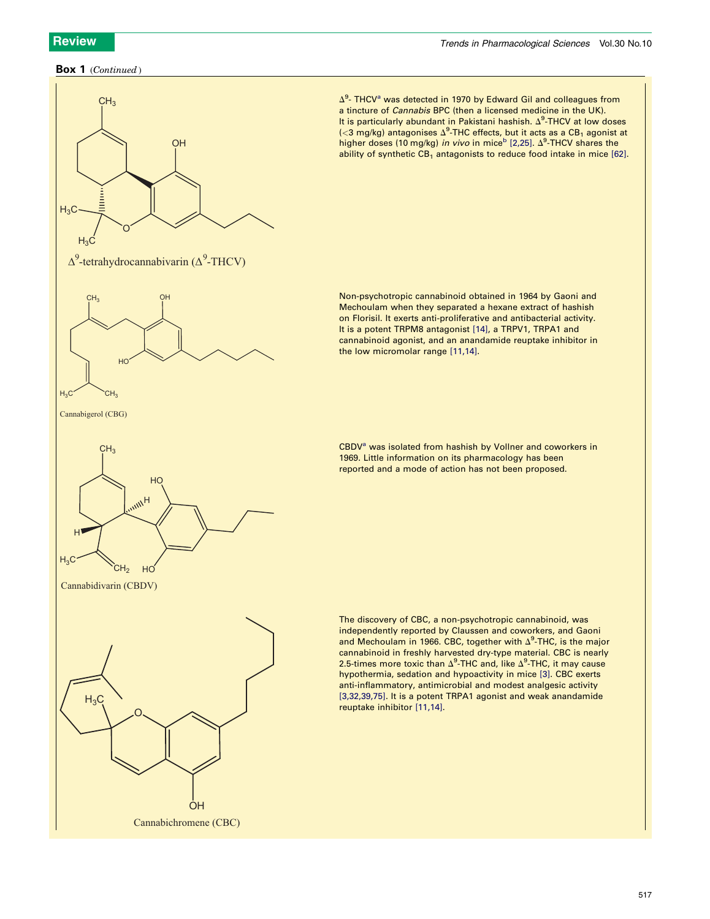# Box 1 (*Continued* )



 $\Delta^9$ - THCV<sup>a</sup> was detected in 1970 by Edward Gil and colleagues from a tincture of Cannabis BPC (then a licensed medicine in the UK). It is particularly abundant in Pakistani hashish.  $\Delta^9$ -THCV at low doses  $\langle$ <3 mg/kg) antagonises  $\Delta^9$ -THC effects, but it acts as a CB<sub>1</sub> agonist at higher doses (10 mg/kg) in vivo in mice<sup>b</sup> [2,25].  $\Delta^9$ -THCV shares the ability of synthetic  $CB_1$  antagonists to reduce food intake in mice [62].

Non-psychotropic cannabinoid obtained in 1964 by Gaoni and Mechoulam when they separated a hexane extract of hashish on Florisil. It exerts anti-proliferative and antibacterial activity. It is a potent TRPM8 antagonist [14], a TRPV1, TRPA1 and cannabinoid agonist, and an anandamide reuptake inhibitor in the low micromolar range [11,14].

CBDV<sup>a</sup> was isolated from hashish by Vollner and coworkers in 1969. Little information on its pharmacology has been reported and a mode of action has not been proposed.

The discovery of CBC, a non-psychotropic cannabinoid, was independently reported by Claussen and coworkers, and Gaoni and Mechoulam in 1966. CBC, together with  $\Delta^9$ -THC, is the major cannabinoid in freshly harvested dry-type material. CBC is nearly 2.5-times more toxic than  $\Delta^9$ -THC and, like  $\Delta^9$ -THC, it may cause hypothermia, sedation and hypoactivity in mice [3]. CBC exerts anti-inflammatory, antimicrobial and modest analgesic activity [3,32,39,75]. It is a potent TRPA1 agonist and weak anandamide reuptake inhibitor [11,14].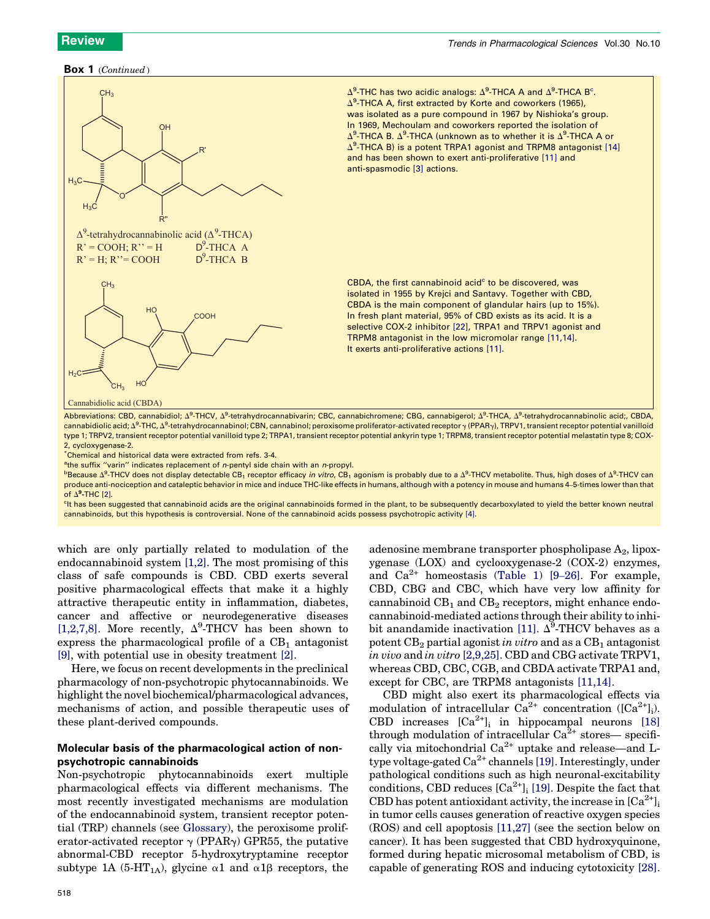# Box 1 (*Continued* )



 $\Delta^9$ -THC has two acidic analogs:  $\Delta^9$ -THCA A and  $\Delta^9$ -THCA B<sup>c</sup>.  $\Delta^9$ -THCA A, first extracted by Korte and coworkers (1965), was isolated as a pure compound in 1967 by Nishioka's group. In 1969, Mechoulam and coworkers reported the isolation of Δ<sup>9</sup>-THCA B. Δ<sup>9</sup>-THCA (unknown as to whether it is Δ<sup>9</sup>-THCA A or  $\Delta^9$ -THCA B) is a potent TRPA1 agonist and TRPM8 antagonist [14] and has been shown to exert anti-proliferative [11] and anti-spasmodic [3] actions.

CBDA, the first cannabinoid acid $c$  to be discovered, was isolated in 1955 by Krejci and Santavy. Together with CBD, CBDA is the main component of glandular hairs (up to 15%). In fresh plant material, 95% of CBD exists as its acid. It is a selective COX-2 inhibitor [22], TRPA1 and TRPV1 agonist and TRPM8 antagonist in the low micromolar range [11,14]. It exerts anti-proliferative actions [11].

Abbreviations: CBD, cannabidiol; Δ<sup>9</sup>-THCV, Δ<sup>9</sup>-tetrahydrocannabivarin; CBC, cannabichromene; CBG, cannabigerol; Δ<sup>9</sup>-THCA, Δ<sup>9</sup>-tetrahydrocannabinolic acid;, CBDA, cannabidiolic acid; ∆<sup>9</sup>-THC, ∆<sup>9</sup>-tetrahydrocannabinol; CBN, cannabinol; peroxisome proliferator-activated receptor <sub>Y</sub> (PPAR<sub>Y</sub>), TRPV1, transient receptor potential vanilloid type 1; TRPV2, transient receptor potential vanilloid type 2; TRPA1, transient receptor potential ankyrin type 1; TRPM8, transient receptor potential melastatin type 8; COX-2, cycloxygenase-2.

\*Chemical and historical data were extracted from refs. 3-4.

<sup>a</sup>the suffix "varin" indicates replacement of n-pentyl side chain with an n-propyl.

 $^{\rm b}$ Because  $\Delta^{\rm g}$ -THCV does not display detectable CB<sub>1</sub> receptor efficacy *in vitro,* CB<sub>1</sub> agonism is probably due to a  $\Delta^{\rm g}$ -THCV metabolite. Thus, high doses of  $\Delta^{\rm g}$ -THCV can produce anti-nociception and cataleptic behavior in mice and induce THC-like effects in humans, although with a potency in mouse and humans 4–5-times lower than that of  $\Delta^9$ -THC [2].

<sup>c</sup>lt has been suggested that cannabinoid acids are the original cannabinoids formed in the plant, to be subsequently decarboxylated to yield the better known neutral cannabinoids, but this hypothesis is controversial. None of the cannabinoid acids possess psychotropic activity [4].

which are only partially related to modulation of the endocannabinoid system [1,2]. The most promising of this class of safe compounds is CBD. CBD exerts several positive pharmacological effects that make it a highly attractive therapeutic entity in inflammation, diabetes, cancer and affective or neurodegenerative diseases [1,2,7,8]. More recently,  $\Delta^9$ -THCV has been shown to express the pharmacological profile of a  $CB<sub>1</sub>$  antagonist [9], with potential use in obesity treatment [2].

Here, we focus on recent developments in the preclinical pharmacology of non-psychotropic phytocannabinoids. We highlight the novel biochemical/pharmacological advances, mechanisms of action, and possible therapeutic uses of these plant-derived compounds.

# Molecular basis of the pharmacological action of nonpsychotropic cannabinoids

Non-psychotropic phytocannabinoids exert multiple pharmacological effects via different mechanisms. The most recently investigated mechanisms are modulation of the endocannabinoid system, transient receptor potential (TRP) channels (see Glossary), the peroxisome proliferator-activated receptor  $\gamma$  (PPAR $\gamma$ ) GPR55, the putative abnormal-CBD receptor 5-hydroxytryptamine receptor subtype 1A (5-HT<sub>1A</sub>), glycine  $\alpha$ 1 and  $\alpha$ 1 $\beta$  receptors, the

518

adenosine membrane transporter phospholipase  $A_2$ , lipoxygenase (LOX) and cyclooxygenase-2 (COX-2) enzymes, and  $Ca^{2+}$  homeostasis (Table 1) [9–26]. For example, CBD, CBG and CBC, which have very low affinity for cannabinoid  $CB<sub>1</sub>$  and  $CB<sub>2</sub>$  receptors, might enhance endocannabinoid-mediated actions through their ability to inhibit anandamide inactivation [11].  $\Delta^9$ -THCV behaves as a potent  $CB_2$  partial agonist *in vitro* and as a  $CB_1$  antagonist *in vivo* and *in vitro* [2,9,25]. CBD and CBG activate TRPV1, whereas CBD, CBC, CGB, and CBDA activate TRPA1 and, except for CBC, are TRPM8 antagonists [11,14].

CBD might also exert its pharmacological effects via modulation of intracellular  $Ca^{2+}$  concentration ([Ca<sup>2+</sup>]<sub>i</sub>). CBD increases  $[Ca^{2+}]_i$  in hippocampal neurons [18] through modulation of intracellular  $Ca^{2+}$  stores— specifically via mitochondrial Ca<sup>2+</sup> uptake and release—and Ltype voltage-gated  $Ca^{2+}$  channels [19]. Interestingly, under pathological conditions such as high neuronal-excitability conditions, CBD reduces  $[Ca^{2+}]_i$  [19]. Despite the fact that CBD has potent antioxidant activity, the increase in  $[Ca^{2+}]_i$ in tumor cells causes generation of reactive oxygen species (ROS) and cell apoptosis [11,27] (see the section below on cancer). It has been suggested that CBD hydroxyquinone, formed during hepatic microsomal metabolism of CBD, is capable of generating ROS and inducing cytotoxicity [28].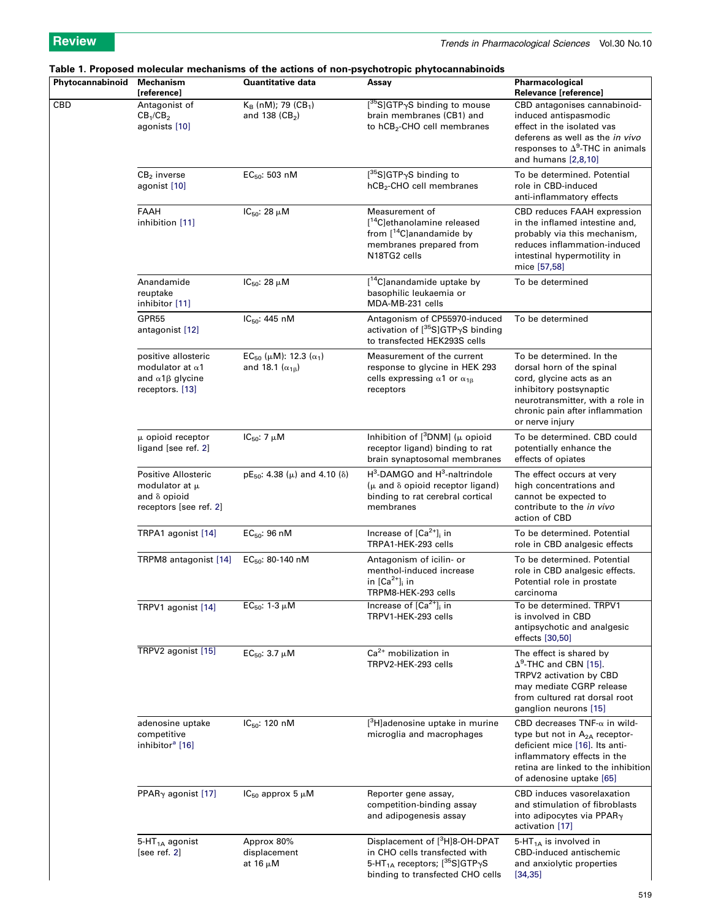# Table 1. Proposed molecular mechanisms of the actions of non-psychotropic phytocannabinoids

| Phytocannabinoid | Mechanism<br>[reference]                                                                            | <b>Quantitative data</b>                                                         | Assay                                                                                                                                                                    | Pharmacological<br>Relevance [reference]                                                                                                                                                                             |
|------------------|-----------------------------------------------------------------------------------------------------|----------------------------------------------------------------------------------|--------------------------------------------------------------------------------------------------------------------------------------------------------------------------|----------------------------------------------------------------------------------------------------------------------------------------------------------------------------------------------------------------------|
| CBD              | Antagonist of<br>CB <sub>1</sub> /CB <sub>2</sub><br>agonists [10]                                  | $K_B$ (nM); 79 (CB <sub>1</sub> )<br>and 138 $(CB2)$                             | [ <sup>35</sup> S]GTP <sub>Y</sub> S binding to mouse<br>brain membranes (CB1) and<br>to hCB <sub>2</sub> -CHO cell membranes                                            | CBD antagonises cannabinoid-<br>induced antispasmodic<br>effect in the isolated vas<br>deferens as well as the in vivo<br>responses to $\Delta^9$ -THC in animals<br>and humans $[2,8,10]$                           |
|                  | $CB2$ inverse<br>agonist [10]                                                                       | $EC_{50}$ : 503 nM                                                               | $[{}^{35}S]$ GTP <sub>Y</sub> S binding to<br>hCB <sub>2</sub> -CHO cell membranes                                                                                       | To be determined. Potential<br>role in CBD-induced<br>anti-inflammatory effects                                                                                                                                      |
|                  | FAAH<br>inhibition [11]                                                                             | IC <sub>50</sub> : 28 $\mu$ M                                                    | Measurement of<br>[ <sup>14</sup> C]ethanolamine released<br>from $[$ <sup>14</sup> C]anandamide by<br>membranes prepared from<br>N18TG2 cells                           | CBD reduces FAAH expression<br>in the inflamed intestine and,<br>probably via this mechanism.<br>reduces inflammation-induced<br>intestinal hypermotility in<br>mice [57,58]                                         |
|                  | Anandamide<br>reuptake<br>inhibitor [11]                                                            | IC <sub>50</sub> : 28 $\mu$ M                                                    | [ <sup>14</sup> C]anandamide uptake by<br>basophilic leukaemia or<br>MDA-MB-231 cells                                                                                    | To be determined                                                                                                                                                                                                     |
|                  | GPR55<br>antagonist [12]                                                                            | $IC_{50}$ : 445 nM                                                               | Antagonism of CP55970-induced<br>activation of $[{}^{35}S]GTP_{\gamma}S$ binding<br>to transfected HEK293S cells                                                         | To be determined                                                                                                                                                                                                     |
|                  | positive allosteric<br>modulator at $\alpha$ 1<br>and $\alpha$ 1 $\beta$ glycine<br>receptors. [13] | EC <sub>50</sub> ( $\mu$ M): 12.3 ( $\alpha_1$ )<br>and 18.1 $(\alpha_{1\beta})$ | Measurement of the current<br>response to glycine in HEK 293<br>cells expressing $\alpha$ 1 or $\alpha$ <sub>18</sub><br>receptors                                       | To be determined. In the<br>dorsal horn of the spinal<br>cord, glycine acts as an<br>inhibitory postsynaptic<br>neurotransmitter, with a role in<br>chronic pain after inflammation<br>or nerve injury               |
|                  | $\mu$ opioid receptor<br>ligand [see ref. 2]                                                        | IC <sub>50</sub> : 7 $\mu$ M                                                     | Inhibition of $[3DNM]$ ( $\mu$ opioid<br>receptor ligand) binding to rat<br>brain synaptosomal membranes                                                                 | To be determined. CBD could<br>potentially enhance the<br>effects of opiates                                                                                                                                         |
|                  | Positive Allosteric<br>modulator at $\mu$<br>and $\delta$ opioid<br>receptors [see ref. 2]          | $pE_{50}$ : 4.38 ( $\mu$ ) and 4.10 ( $\delta$ )                                 | $H^3$ -DAMGO and $H^3$ -naltrindole<br>$(\mu$ and $\delta$ opioid receptor ligand)<br>binding to rat cerebral cortical<br>membranes                                      | The effect occurs at very<br>high concentrations and<br>cannot be expected to<br>contribute to the in vivo<br>action of CBD                                                                                          |
|                  | TRPA1 agonist [14]                                                                                  | $EC_{50}$ : 96 nM                                                                | Increase of $[Ca2+]$ <sub>i</sub> in<br>TRPA1-HEK-293 cells                                                                                                              | To be determined. Potential<br>role in CBD analgesic effects                                                                                                                                                         |
|                  | TRPM8 antagonist [14]                                                                               | $EC_{50}$ : 80-140 nM                                                            | Antagonism of icilin- or<br>menthol-induced increase<br>in $[Ca^{2+}]_i$ in<br>TRPM8-HEK-293 cells                                                                       | To be determined. Potential<br>role in CBD analgesic effects.<br>Potential role in prostate<br>carcinoma                                                                                                             |
|                  | TRPV1 agonist [14]                                                                                  | $EC_{50}$ : 1-3 $\mu$ M                                                          | Increase of $[Ca2+]$ <sub>i</sub> in<br>TRPV1-HEK-293 cells                                                                                                              | To be determined. TRPV1<br>is involved in CBD<br>antipsychotic and analgesic<br>effects [30,50]                                                                                                                      |
|                  | TRPV2 agonist [15]                                                                                  | EC <sub>50</sub> : 3.7 $\mu$ M                                                   | $\overline{\text{Ca}^{2+}}$ mobilization in<br>TRPV2-HEK-293 cells                                                                                                       | The effect is shared by<br>$\Delta^9$ -THC and CBN [15].<br>TRPV2 activation by CBD<br>may mediate CGRP release<br>from cultured rat dorsal root<br>ganglion neurons [15]                                            |
|                  | adenosine uptake<br>competitive<br>inhibitor <sup>a</sup> [16]                                      | IC <sub>50</sub> : 120 nM                                                        | $[{}^{3}$ H]adenosine uptake in murine<br>microglia and macrophages                                                                                                      | CBD decreases $TNF-\alpha$ in wild-<br>type but not in A <sub>2A</sub> receptor-<br>deficient mice [16]. Its anti-<br>inflammatory effects in the<br>retina are linked to the inhibition<br>of adenosine uptake [65] |
|                  | PPAR <sub><math>\gamma</math></sub> agonist [17]                                                    | $IC_{50}$ approx 5 $\mu$ M                                                       | Reporter gene assay,<br>competition-binding assay<br>and adipogenesis assay                                                                                              | CBD induces vasorelaxation<br>and stimulation of fibroblasts<br>into adipocytes via PPAR $\gamma$<br>activation [17]                                                                                                 |
|                  | 5-HT <sub>1A</sub> agonist<br>[see ref. 2]                                                          | Approx 80%<br>displacement<br>at 16 μM                                           | Displacement of [ <sup>3</sup> H]8-OH-DPAT<br>in CHO cells transfected with<br>5-HT <sub>1A</sub> receptors; $[{}^{35}S]GTP\gamma S$<br>binding to transfected CHO cells | 5-HT <sub>1A</sub> is involved in<br>CBD-induced antischemic<br>and anxiolytic properties<br>[34, 35]                                                                                                                |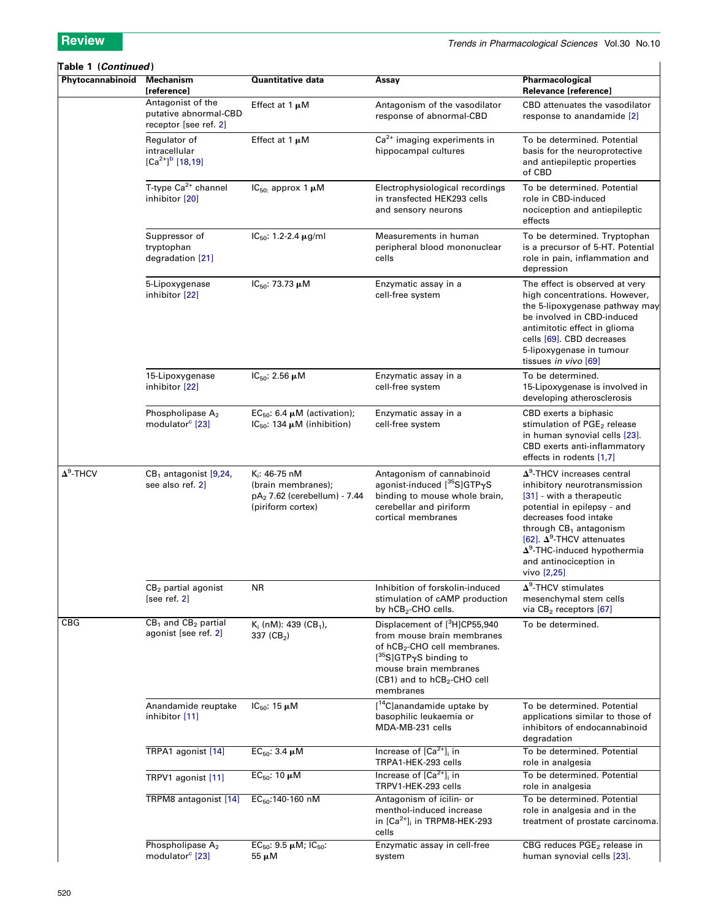## Table 1 (Continued) Phytocannabinoid Mechanism [reference] Quantitative data Assay Assay Pharmacological Relevance [reference] Antagonist of the putative abnormal-CBD receptor [see ref. 2] Effect at 1  $\mu$ M Antagonism of the vasodilator response of abnormal-CBD CBD attenuates the vasodilator response to anandamide [2] Regulator of intracellular  $[Ca^{2+}]^b$  [18,19] Effect at 1  $\mu$ M  $Ca<sup>2+</sup>$  imaging experiments in hippocampal cultures To be determined. Potential basis for the neuroprotective and antiepileptic properties of CBD T-type  $Ca^{2+}$  channel inhibitor [20]  $IC_{50}$ : approx 1  $\mu$ M Electrophysiological recordings in transfected HEK293 cells and sensory neurons To be determined. Potential role in CBD-induced nociception and antiepileptic effects Suppressor of tryptophan degradation [21]  $IC_{50}$ : 1.2-2.4  $\mu$ g/ml Measurements in human peripheral blood mononuclear cells To be determined. Tryptophan is a precursor of 5-HT. Potential role in pain, inflammation and depression 5-Lipoxygenase inhibitor [22]  $IC_{50}$ : 73.73  $\mu$ M Enzymatic assay in a cell-free system The effect is observed at very high concentrations. However, the 5-lipoxygenase pathway may be involved in CBD-induced antimitotic effect in glioma cells [69]. CBD decreases 5-lipoxygenase in tumour tissues in vivo [69] 15-Lipoxygenase inhibitor [22]  $IC_{50}$ : 2.56  $\mu$ M Enzymatic assay in a cell-free system To be determined. 15-Lipoxygenase is involved in developing atherosclerosis Phospholipase A<sub>2</sub> modulator<sup>c</sup> [23] EC<sub>50</sub>: 6.4  $\mu$ M (activation); IC<sub>50</sub>: 134  $\mu$ M (inhibition) Enzymatic assay in a cell-free system CBD exerts a biphasic stimulation of PGE<sub>2</sub> release in human synovial cells [23]. CBD exerts anti-inflammatory effects in rodents [1,7]  $\Delta^9$  $CB<sub>1</sub>$  antagonist [9,24, see also ref. 2] K<sub>i</sub>: 46-75 nM (brain membranes); pA<sup>2</sup> 7.62 (cerebellum) - 7.44 (piriform cortex) Antagonism of cannabinoid agonist-induced [<sup>35</sup>S]GTPyS binding to mouse whole brain, cerebellar and piriform cortical membranes  $\Delta^9$ -THCV increases central inhibitory neurotransmission [31] - with a therapeutic potential in epilepsy - and decreases food intake through  $CB<sub>1</sub>$  antagonism [62].  $\Delta^9$ -THCV attenuates  $\Delta^9$ -THC-induced hypothermia and antinociception in vivo [2,25] CB<sub>2</sub> partial agonist [see ref. 2] NR Inhibition of forskolin-induced stimulation of cAMP production by hCB<sub>2</sub>-CHO cells.  $\Delta^9$ -THCV stimulates mesenchymal stem cells via  $CB<sub>2</sub>$  receptors  $[67]$  $CB<sub>1</sub>$  and  $CB<sub>2</sub>$  partial agonist [see ref. 2] K<sub>i</sub> (nM): 439 (CB<sub>1</sub>), 337 (CB<sub>2</sub>) Displacement of [3H]CP55,940 from mouse brain membranes of hCB<sub>2</sub>-CHO cell membranes. [<sup>35</sup>S]GTPγS binding to mouse brain membranes (CB1) and to hCB<sub>2</sub>-CHO cell membranes To be determined. Anandamide reuptake inhibitor [11]  $IC_{50}$ : 15  $\mu$ M [<sup>14</sup>C]anandamide uptake by basophilic leukaemia or MDA-MB-231 cells To be determined. Potential applications similar to those of inhibitors of endocannabinoid degradation TRPA1 agonist  $[14]$  EC<sub>50</sub>: 3.4  $\mu$ M Increase of  $[Ca<sup>2+</sup>]$ <sub>i</sub> in TRPA1-HEK-293 cells To be determined. Potential role in analgesia TRPV1 agonist  $[11]$  EC<sub>50</sub>: 10  $\mu$ M Increase of  $[Ca<sup>2+</sup>]$  in TRPV1-HEK-293 cells To be determined. Potential role in analgesia TRPM8 antagonist  $[14]$   $EC_{50}$ :140-160 nM Antagonism of icilin- or menthol-induced increase in  $[Ca^{2+}]$ <sub>i</sub> in TRPM8-HEK-293 cells To be determined. Potential role in analgesia and in the treatment of prostate carcinoma. Phospholipase A<sub>2</sub> modulator<sup>c</sup> [23] EC<sub>50</sub>: 9.5  $\mu$ M; IC<sub>50</sub>: 55 mM Enzymatic assay in cell-free system CBG reduces PGE<sub>2</sub> release in human synovial cells [23].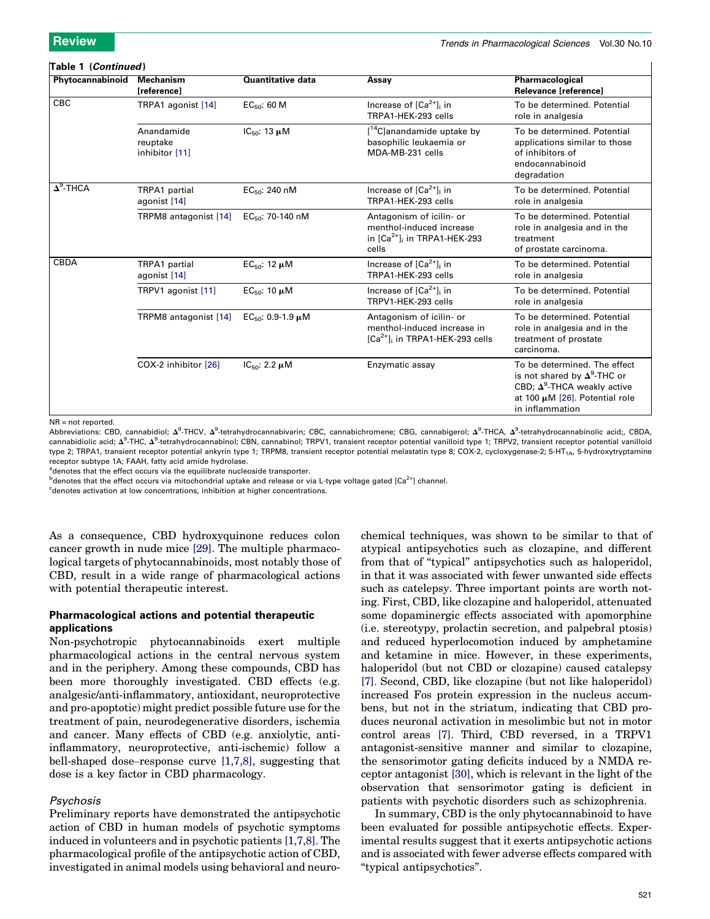# Table 1 (Continued )

| Phytocannabinoid | <b>Mechanism</b><br><b>Ireferencel</b>   | <b>Quantitative data</b>           | Assay                                                                                                   | Pharmacological<br><b>Relevance Ireferencel</b>                                                                                                                 |
|------------------|------------------------------------------|------------------------------------|---------------------------------------------------------------------------------------------------------|-----------------------------------------------------------------------------------------------------------------------------------------------------------------|
| CBC              | TRPA1 agonist [14]                       | EC <sub>50</sub> : 60 M            | Increase of $[Ca2+]$ <sub>i</sub> in<br>TRPA1-HEK-293 cells                                             | To be determined. Potential<br>role in analgesia                                                                                                                |
|                  | Anandamide<br>reuptake<br>inhibitor [11] | IC <sub>50</sub> : 13 $\mu$ M      | [ <sup>14</sup> C]anandamide uptake by<br>basophilic leukaemia or<br>MDA-MB-231 cells                   | To be determined. Potential<br>applications similar to those<br>of inhibitors of<br>endocannabinoid<br>degradation                                              |
| $\Delta^9$ -THCA | TRPA1 partial<br>agonist [14]            | $EC_{50}$ : 240 nM                 | Increase of $[Ca2+]$ in<br>TRPA1-HEK-293 cells                                                          | To be determined. Potential<br>role in analgesia                                                                                                                |
|                  | TRPM8 antagonist [14]                    | EC <sub>50</sub> : 70-140 nM       | Antagonism of icilin- or<br>menthol-induced increase<br>in $[Ca2+]$ in TRPA1-HEK-293<br>cells           | To be determined. Potential<br>role in analgesia and in the<br>treatment<br>of prostate carcinoma.                                                              |
| <b>CBDA</b>      | TRPA1 partial<br>agonist [14]            | EC <sub>50</sub> : 12 $\mu$ M      | Increase of $[Ca2+]$ in<br>TRPA1-HEK-293 cells                                                          | To be determined. Potential<br>role in analgesia                                                                                                                |
|                  | TRPV1 agonist [11]                       | EC <sub>50</sub> : 10 $\mu$ M      | Increase of $[Ca2+]$ <sub>i</sub> in<br>TRPV1-HEK-293 cells                                             | To be determined. Potential<br>role in analgesia                                                                                                                |
|                  | TRPM8 antagonist [14]                    | EC <sub>50</sub> : $0.9-1.9 \mu M$ | Antagonism of icilin- or<br>menthol-induced increase in<br>$[Ca2+]$ <sub>i</sub> in TRPA1-HEK-293 cells | To be determined. Potential<br>role in analgesia and in the<br>treatment of prostate<br>carcinoma.                                                              |
|                  | COX-2 inhibitor [26]                     | IC <sub>50</sub> : 2.2 $\mu$ M     | Enzymatic assay                                                                                         | To be determined. The effect<br>is not shared by $\Delta^9$ -THC or<br>CBD; $\Delta^9$ -THCA weakly active<br>at 100 µM [26]. Potential role<br>in inflammation |

NR = not reported.

Abbreviations: CBD, cannabidiol;  $\Delta^9$ -THCV,  $\Delta^9$ -tetrahydrocannabivarin; CBC, cannabichromene; CBG, cannabigerol;  $\Delta^9$ -THCA,  $\Delta^9$ -tetrahydrocannabinolic acid;, CBDA, cannabidiolic acid;  $\Delta^9$ -THC,  $\Delta^9$ -tetrahydrocannabinol; CBN, cannabinol; TRPV1, transient receptor potential vanilloid type 1; TRPV2, transient receptor potential vanilloid type 2; TRPA1, transient receptor potential ankyrin type 1; TRPM8, transient receptor potential melastatin type 8; COX-2, cycloxygenase-2; 5-HT<sub>1A</sub>, 5-hydroxytryptamine receptor subtype 1A; FAAH, fatty acid amide hydrolase.

<sup>a</sup>denotes that the effect occurs via the equilibrate nucleoside transporter.

<sup>b</sup>denotes that the effect occurs via mitochondrial uptake and release or via L-type voltage gated [Ca<sup>2+</sup>] channel.

<sup>c</sup>denotes activation at low concentrations, inhibition at higher concentrations.

As a consequence, CBD hydroxyquinone reduces colon cancer growth in nude mice [29]. The multiple pharmacological targets of phytocannabinoids, most notably those of CBD, result in a wide range of pharmacological actions with potential therapeutic interest.

# Pharmacological actions and potential therapeutic applications

Non-psychotropic phytocannabinoids exert multiple pharmacological actions in the central nervous system and in the periphery. Among these compounds, CBD has been more thoroughly investigated. CBD effects (e.g. analgesic/anti-inflammatory, antioxidant, neuroprotective and pro-apoptotic) might predict possible future use for the treatment of pain, neurodegenerative disorders, ischemia and cancer. Many effects of CBD (e.g. anxiolytic, antiinflammatory, neuroprotective, anti-ischemic) follow a bell-shaped dose–response curve [1,7,8], suggesting that dose is a key factor in CBD pharmacology.

# Psychosis

Preliminary reports have demonstrated the antipsychotic action of CBD in human models of psychotic symptoms induced in volunteers and in psychotic patients [1,7,8]. The pharmacological profile of the antipsychotic action of CBD, investigated in animal models using behavioral and neuro-

chemical techniques, was shown to be similar to that of atypical antipsychotics such as clozapine, and different from that of ''typical'' antipsychotics such as haloperidol, in that it was associated with fewer unwanted side effects such as catelepsy. Three important points are worth noting. First, CBD, like clozapine and haloperidol, attenuated some dopaminergic effects associated with apomorphine (i.e. stereotypy, prolactin secretion, and palpebral ptosis) and reduced hyperlocomotion induced by amphetamine and ketamine in mice. However, in these experiments, haloperidol (but not CBD or clozapine) caused catalepsy [7]. Second, CBD, like clozapine (but not like haloperidol) increased Fos protein expression in the nucleus accumbens, but not in the striatum, indicating that CBD produces neuronal activation in mesolimbic but not in motor control areas [7]. Third, CBD reversed, in a TRPV1 antagonist-sensitive manner and similar to clozapine, the sensorimotor gating deficits induced by a NMDA receptor antagonist [30], which is relevant in the light of the observation that sensorimotor gating is deficient in patients with psychotic disorders such as schizophrenia.

In summary, CBD is the only phytocannabinoid to have been evaluated for possible antipsychotic effects. Experimental results suggest that it exerts antipsychotic actions and is associated with fewer adverse effects compared with ''typical antipsychotics''.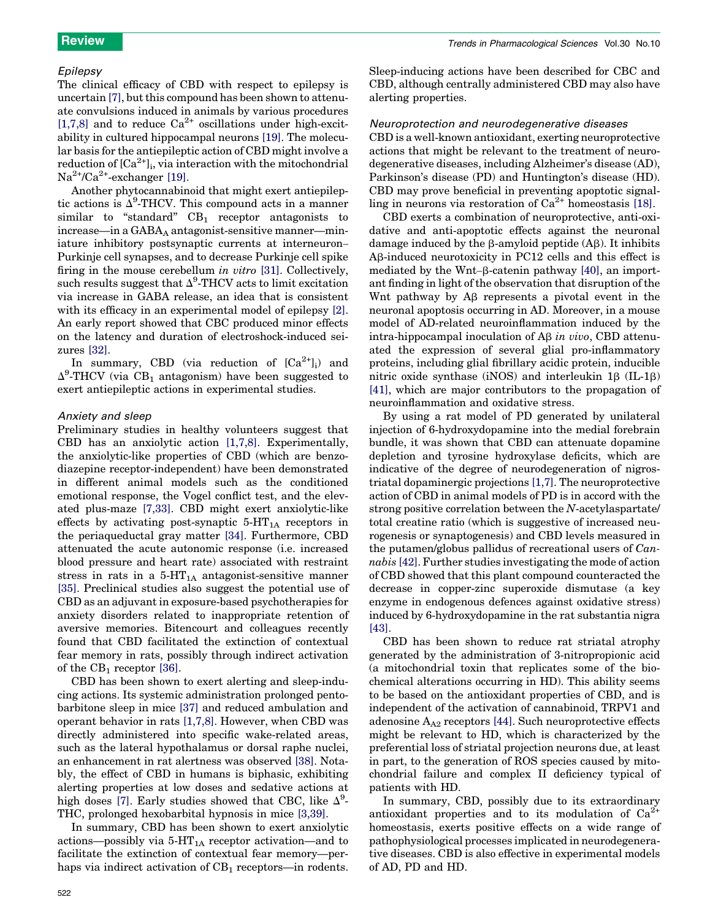# Epilepsy

The clinical efficacy of CBD with respect to epilepsy is uncertain [7], but this compound has been shown to attenuate convulsions induced in animals by various procedures [1,7,8] and to reduce  $Ca^{2+}$  oscillations under high-excitability in cultured hippocampal neurons [19]. The molecular basis for the antiepileptic action of CBD might involve a  $\operatorname{reduction}$  of  $\operatorname{[Ca}^{2+}\mathrm{]}_{\mathrm{i}},$  via interaction with the mitochondrial  $Na^{2+}/Ca^{2+}$ -exchanger [19].

Another phytocannabinoid that might exert antiepileptic actions is  $\Delta^9$ -THCV. This compound acts in a manner similar to "standard"  $CB_1$  receptor antagonists to  $increase—in a GABA<sub>A</sub> antagonist-sensitive manner—min$ iature inhibitory postsynaptic currents at interneuron– Purkinje cell synapses, and to decrease Purkinje cell spike firing in the mouse cerebellum *in vitro* [31]. Collectively, such results suggest that  $\Delta^9$ -THCV acts to limit excitation via increase in GABA release, an idea that is consistent with its efficacy in an experimental model of epilepsy  $[2]$ . An early report showed that CBC produced minor effects on the latency and duration of electroshock-induced seizures [32].

In summary, CBD (via reduction of  $[Ca^{2+}]_i$ ) and  $\Delta^9$ -THCV (via CB<sub>1</sub> antagonism) have been suggested to exert antiepileptic actions in experimental studies.

# Anxiety and sleep

Preliminary studies in healthy volunteers suggest that CBD has an anxiolytic action [1,7,8]. Experimentally, the anxiolytic-like properties of CBD (which are benzodiazepine receptor-independent) have been demonstrated in different animal models such as the conditioned emotional response, the Vogel conflict test, and the elevated plus-maze [7,33]. CBD might exert anxiolytic-like effects by activating post-synaptic  $5-HT_{1A}$  receptors in the periaqueductal gray matter [34]. Furthermore, CBD attenuated the acute autonomic response (i.e. increased blood pressure and heart rate) associated with restraint stress in rats in a  $5-HT_{1A}$  antagonist-sensitive manner [35]. Preclinical studies also suggest the potential use of CBD as an adjuvant in exposure-based psychotherapies for anxiety disorders related to inappropriate retention of aversive memories. Bitencourt and colleagues recently found that CBD facilitated the extinction of contextual fear memory in rats, possibly through indirect activation of the  $CB_1$  receptor [36].

CBD has been shown to exert alerting and sleep-inducing actions. Its systemic administration prolonged pentobarbitone sleep in mice [37] and reduced ambulation and operant behavior in rats [1,7,8]. However, when CBD was directly administered into specific wake-related areas, such as the lateral hypothalamus or dorsal raphe nuclei, an enhancement in rat alertness was observed [38]. Notably, the effect of CBD in humans is biphasic, exhibiting alerting properties at low doses and sedative actions at high doses [7]. Early studies showed that CBC, like  $\Delta^9$ -THC, prolonged hexobarbital hypnosis in mice [3,39].

In summary, CBD has been shown to exert anxiolytic actions—possibly via  $5-HT_{1A}$  receptor activation—and to facilitate the extinction of contextual fear memory—perhaps via indirect activation of  $CB_1$  receptors—in rodents.

Sleep-inducing actions have been described for CBC and CBD, although centrally administered CBD may also have alerting properties.

# Neuroprotection and neurodegenerative diseases

CBD is a well-known antioxidant, exerting neuroprotective actions that might be relevant to the treatment of neurodegenerative diseases, including Alzheimer's disease (AD), Parkinson's disease (PD) and Huntington's disease (HD). CBD may prove beneficial in preventing apoptotic signalling in neurons via restoration of  $Ca^{2+}$  homeostasis [18].

CBD exerts a combination of neuroprotective, anti-oxidative and anti-apoptotic effects against the neuronal damage induced by the  $\beta$ -amyloid peptide (A $\beta$ ). It inhibits Ab-induced neurotoxicity in PC12 cells and this effect is mediated by the Wnt– $\beta$ -catenin pathway [40], an important finding in light of the observation that disruption of the Whet pathway by A<sub>B</sub> represents a pivotal event in the neuronal apoptosis occurring in AD. Moreover, in a mouse model of AD-related neuroinflammation induced by the intra-hippocampal inoculation of Ab *in vivo*, CBD attenuated the expression of several glial pro-inflammatory proteins, including glial fibrillary acidic protein, inducible nitric oxide synthase  $(iNOS)$  and interleukin 1 $\beta$  (IL-1 $\beta$ ) [41], which are major contributors to the propagation of neuroinflammation and oxidative stress.

By using a rat model of PD generated by unilateral injection of 6-hydroxydopamine into the medial forebrain bundle, it was shown that CBD can attenuate dopamine depletion and tyrosine hydroxylase deficits, which are indicative of the degree of neurodegeneration of nigrostriatal dopaminergic projections [1,7]. The neuroprotective action of CBD in animal models of PD is in accord with the strong positive correlation between the *N*-acetylaspartate/ total creatine ratio (which is suggestive of increased neurogenesis or synaptogenesis) and CBD levels measured in the putamen/globus pallidus of recreational users of *Cannabis* [42]. Further studies investigating the mode of action of CBD showed that this plant compound counteracted the decrease in copper-zinc superoxide dismutase (a key enzyme in endogenous defences against oxidative stress) induced by 6-hydroxydopamine in the rat substantia nigra [43].

CBD has been shown to reduce rat striatal atrophy generated by the administration of 3-nitropropionic acid (a mitochondrial toxin that replicates some of the biochemical alterations occurring in HD). This ability seems to be based on the antioxidant properties of CBD, and is independent of the activation of cannabinoid, TRPV1 and adenosine  $A_{A2}$  receptors [44]. Such neuroprotective effects might be relevant to HD, which is characterized by the preferential loss of striatal projection neurons due, at least in part, to the generation of ROS species caused by mitochondrial failure and complex II deficiency typical of patients with HD.

In summary, CBD, possibly due to its extraordinary antioxidant properties and to its modulation of  $Ca^{2+}$ homeostasis, exerts positive effects on a wide range of pathophysiological processes implicated in neurodegenerative diseases. CBD is also effective in experimental models of AD, PD and HD.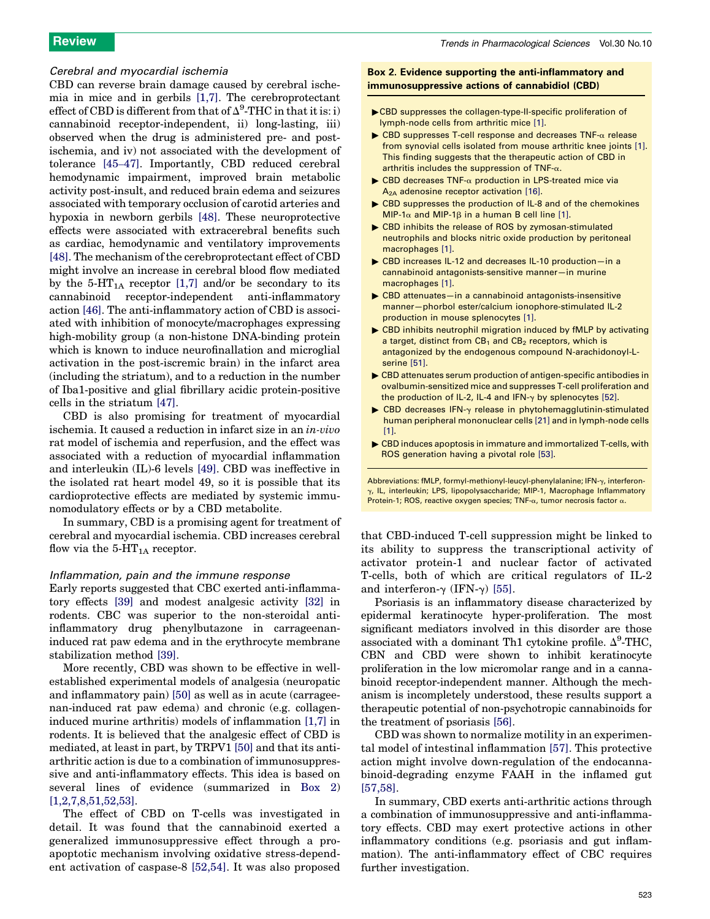# Cerebral and myocardial ischemia

CBD can reverse brain damage caused by cerebral ischemia in mice and in gerbils [1,7]. The cerebroprotectant effect of CBD is different from that of  $\Delta^9\text{-}\text{THC}$  in that it is: i) cannabinoid receptor-independent, ii) long-lasting, iii) observed when the drug is administered pre- and postischemia, and iv) not associated with the development of tolerance [45–47]. Importantly, CBD reduced cerebral hemodynamic impairment, improved brain metabolic activity post-insult, and reduced brain edema and seizures associated with temporary occlusion of carotid arteries and hypoxia in newborn gerbils [48]. These neuroprotective effects were associated with extracerebral benefits such as cardiac, hemodynamic and ventilatory improvements [48]. The mechanism of the cerebroprotectant effect of CBD might involve an increase in cerebral blood flow mediated by the 5-HT<sub>1A</sub> receptor [1,7] and/or be secondary to its cannabinoid receptor-independent anti-inflammatory action [46]. The anti-inflammatory action of CBD is associated with inhibition of monocyte/macrophages expressing high-mobility group (a non-histone DNA-binding protein which is known to induce neurofinallation and microglial activation in the post-iscremic brain) in the infarct area (including the striatum), and to a reduction in the number of Iba1-positive and glial fibrillary acidic protein-positive cells in the striatum [47].

CBD is also promising for treatment of myocardial ischemia. It caused a reduction in infarct size in an *in-vivo* rat model of ischemia and reperfusion, and the effect was associated with a reduction of myocardial inflammation and interleukin (IL)-6 levels [49]. CBD was ineffective in the isolated rat heart model 49, so it is possible that its cardioprotective effects are mediated by systemic immunomodulatory effects or by a CBD metabolite.

In summary, CBD is a promising agent for treatment of cerebral and myocardial ischemia. CBD increases cerebral flow via the  $5$ -HT<sub>1A</sub> receptor.

# Inflammation, pain and the immune response

Early reports suggested that CBC exerted anti-inflammatory effects [39] and modest analgesic activity [32] in rodents. CBC was superior to the non-steroidal antiinflammatory drug phenylbutazone in carrageenaninduced rat paw edema and in the erythrocyte membrane stabilization method [39].

More recently, CBD was shown to be effective in wellestablished experimental models of analgesia (neuropatic and inflammatory pain) [50] as well as in acute (carrageenan-induced rat paw edema) and chronic (e.g. collageninduced murine arthritis) models of inflammation [1,7] in rodents. It is believed that the analgesic effect of CBD is mediated, at least in part, by TRPV1 [50] and that its antiarthritic action is due to a combination of immunosuppressive and anti-inflammatory effects. This idea is based on several lines of evidence (summarized in Box 2) [1,2,7,8,51,52,53].

The effect of CBD on T-cells was investigated in detail. It was found that the cannabinoid exerted a generalized immunosuppressive effect through a proapoptotic mechanism involving oxidative stress-dependent activation of caspase-8 [52,54]. It was also proposed

# Box 2. Evidence supporting the anti-inflammatory and immunosuppressive actions of cannabidiol (CBD)

- "CBD suppresses the collagen-type-II-specific proliferation of lymph-node cells from arthritic mice [1].
- $\triangleright$  CBD suppresses T-cell response and decreases TNF- $\alpha$  release from synovial cells isolated from mouse arthritic knee joints [1]. This finding suggests that the therapeutic action of CBD in arthritis includes the suppression of TNF- $\alpha$ .
- $\triangleright$  CBD decreases TNF- $\alpha$  production in LPS-treated mice via  $A<sub>2A</sub>$  adenosine receptor activation [16].
- EXP CBD suppresses the production of IL-8 and of the chemokines  $MIP-1\alpha$  and MIP-1 $\beta$  in a human B cell line [1].
- Example 20 CBD inhibits the release of ROS by zymosan-stimulated neutrophils and blocks nitric oxide production by peritoneal macrophages [1].
- ▶ CBD increases IL-12 and decreases IL-10 production-in a cannabinoid antagonists-sensitive manner—in murine macrophages [1].
- $\triangleright$  CBD attenuates—in a cannabinoid antagonists-insensitive manner—phorbol ester/calcium ionophore-stimulated IL-2 production in mouse splenocytes [1].
- Example CBD inhibits neutrophil migration induced by fMLP by activating a target, distinct from  $CB_1$  and  $CB_2$  receptors, which is antagonized by the endogenous compound N-arachidonoyl-Lserine [51].
- $\triangleright$  CBD attenuates serum production of antigen-specific antibodies in ovalbumin-sensitized mice and suppresses T-cell proliferation and the production of IL-2, IL-4 and IFN- $\gamma$  by splenocytes [52].
- $\triangleright$  CBD decreases IFN- $\gamma$  release in phytohemagglutinin-stimulated human peripheral mononuclear cells [21] and in lymph-node cells [1].
- $\triangleright$  CBD induces apoptosis in immature and immortalized T-cells, with ROS generation having a pivotal role [53].

Abbreviations: fMLP, formyl-methionyl-leucyl-phenylalanine; IFN-y, interferon- $\gamma$ , IL, interleukin; LPS, lipopolysaccharide; MIP-1, Macrophage Inflammatory Protein-1; ROS, reactive oxygen species; TNF- $\alpha$ , tumor necrosis factor  $\alpha$ .

that CBD-induced T-cell suppression might be linked to its ability to suppress the transcriptional activity of activator protein-1 and nuclear factor of activated T-cells, both of which are critical regulators of IL-2 and interferon- $\gamma$  (IFN- $\gamma$ ) [55].

Psoriasis is an inflammatory disease characterized by epidermal keratinocyte hyper-proliferation. The most significant mediators involved in this disorder are those associated with a dominant Th1 cytokine profile.  $\Delta^9$ -THC, CBN and CBD were shown to inhibit keratinocyte proliferation in the low micromolar range and in a cannabinoid receptor-independent manner. Although the mechanism is incompletely understood, these results support a therapeutic potential of non-psychotropic cannabinoids for the treatment of psoriasis [56].

CBD was shown to normalize motility in an experimental model of intestinal inflammation [57]. This protective action might involve down-regulation of the endocannabinoid-degrading enzyme FAAH in the inflamed gut [57,58].

In summary, CBD exerts anti-arthritic actions through a combination of immunosuppressive and anti-inflammatory effects. CBD may exert protective actions in other inflammatory conditions (e.g. psoriasis and gut inflammation). The anti-inflammatory effect of CBC requires further investigation.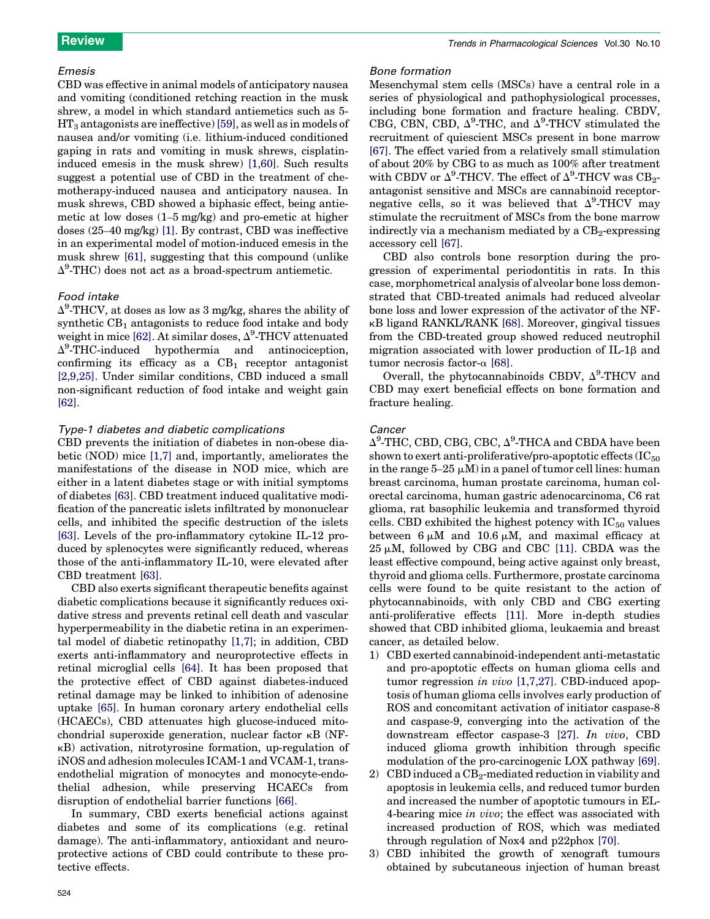# Emesis

CBD was effective in animal models of anticipatory nausea and vomiting (conditioned retching reaction in the musk shrew, a model in which standard antiemetics such as 5-  $HT_3$  antagonists are ineffective) [59], as well as in models of nausea and/or vomiting (i.e. lithium-induced conditioned gaping in rats and vomiting in musk shrews, cisplatininduced emesis in the musk shrew) [1,60]. Such results suggest a potential use of CBD in the treatment of chemotherapy-induced nausea and anticipatory nausea. In musk shrews, CBD showed a biphasic effect, being antiemetic at low doses (1–5 mg/kg) and pro-emetic at higher doses (25–40 mg/kg) [1]. By contrast, CBD was ineffective in an experimental model of motion-induced emesis in the musk shrew [61], suggesting that this compound (unlike  $\Delta^9$ -THC) does not act as a broad-spectrum antiemetic.

# Food intake

 $\Delta^9$ -THCV, at doses as low as 3 mg/kg, shares the ability of synthetic  $CB_1$  antagonists to reduce food intake and body weight in mice [62]. At similar doses,  $\Delta^9\text{-}\text{THCV}$  attenuated  $\Delta^9$ -THC-induced hypothermia and antinociception, confirming its efficacy as a  $CB_1$  receptor antagonist [2,9,25]. Under similar conditions, CBD induced a small non-significant reduction of food intake and weight gain [62].

# Type-1 diabetes and diabetic complications

CBD prevents the initiation of diabetes in non-obese diabetic (NOD) mice [1,7] and, importantly, ameliorates the manifestations of the disease in NOD mice, which are either in a latent diabetes stage or with initial symptoms of diabetes [63]. CBD treatment induced qualitative modification of the pancreatic islets infiltrated by mononuclear cells, and inhibited the specific destruction of the islets [63]. Levels of the pro-inflammatory cytokine IL-12 produced by splenocytes were significantly reduced, whereas those of the anti-inflammatory IL-10, were elevated after CBD treatment [63].

CBD also exerts significant therapeutic benefits against diabetic complications because it significantly reduces oxidative stress and prevents retinal cell death and vascular hyperpermeability in the diabetic retina in an experimental model of diabetic retinopathy [1,7]; in addition, CBD exerts anti-inflammatory and neuroprotective effects in retinal microglial cells [64]. It has been proposed that the protective effect of CBD against diabetes-induced retinal damage may be linked to inhibition of adenosine uptake [65]. In human coronary artery endothelial cells (HCAECs), CBD attenuates high glucose-induced mitochondrial superoxide generation, nuclear factor  $\kappa$ B (NFkB) activation, nitrotyrosine formation, up-regulation of iNOS and adhesion molecules ICAM-1 and VCAM-1, transendothelial migration of monocytes and monocyte-endothelial adhesion, while preserving HCAECs from disruption of endothelial barrier functions [66].

In summary, CBD exerts beneficial actions against diabetes and some of its complications (e.g. retinal damage). The anti-inflammatory, antioxidant and neuroprotective actions of CBD could contribute to these protective effects.

# Bone formation

Mesenchymal stem cells (MSCs) have a central role in a series of physiological and pathophysiological processes, including bone formation and fracture healing. CBDV, CBG, CBN, CBD,  $\Delta^9$ -THC, and  $\Delta^9$ -THCV stimulated the recruitment of quiescient MSCs present in bone marrow [67]. The effect varied from a relatively small stimulation of about 20% by CBG to as much as 100% after treatment with CBDV or  $\Delta^9$ -THCV. The effect of  $\Delta^9$ -THCV was CB<sub>2</sub>antagonist sensitive and MSCs are cannabinoid receptornegative cells, so it was believed that  $\Delta^9$ -THCV may stimulate the recruitment of MSCs from the bone marrow indirectly via a mechanism mediated by a  $CB_2$ -expressing accessory cell [67].

CBD also controls bone resorption during the progression of experimental periodontitis in rats. In this case, morphometrical analysis of alveolar bone loss demonstrated that CBD-treated animals had reduced alveolar bone loss and lower expression of the activator of the NFkB ligand RANKL/RANK [68]. Moreover, gingival tissues from the CBD-treated group showed reduced neutrophil migration associated with lower production of IL-1 $\beta$  and tumor necrosis factor- $\alpha$  [68].

Overall, the phytocannabinoids CBDV,  $\Delta^9$ -THCV and CBD may exert beneficial effects on bone formation and fracture healing.

# Cancer

Δ<sup>9</sup>-THC, CBD, CBG, CBC, Δ<sup>9</sup>-THCA and CBDA have been shown to exert anti-proliferative/pro-apoptotic effects  $(IC_{50})$ in the range  $5-25 \mu M$ ) in a panel of tumor cell lines: human breast carcinoma, human prostate carcinoma, human colorectal carcinoma, human gastric adenocarcinoma, C6 rat glioma, rat basophilic leukemia and transformed thyroid cells. CBD exhibited the highest potency with  $IC_{50}$  values between  $6 \mu M$  and  $10.6 \mu M$ , and maximal efficacy at  $25 \mu M$ , followed by CBG and CBC [11]. CBDA was the least effective compound, being active against only breast, thyroid and glioma cells. Furthermore, prostate carcinoma cells were found to be quite resistant to the action of phytocannabinoids, with only CBD and CBG exerting anti-proliferative effects [11]. More in-depth studies showed that CBD inhibited glioma, leukaemia and breast cancer, as detailed below.

- 1) CBD exerted cannabinoid-independent anti-metastatic and pro-apoptotic effects on human glioma cells and tumor regression *in vivo* [1,7,27]. CBD-induced apoptosis of human glioma cells involves early production of ROS and concomitant activation of initiator caspase-8 and caspase-9, converging into the activation of the downstream effector caspase-3 [27]. *In vivo*, CBD induced glioma growth inhibition through specific modulation of the pro-carcinogenic LOX pathway [69].
- 2) CBD induced a  $CB<sub>2</sub>$ -mediated reduction in viability and apoptosis in leukemia cells, and reduced tumor burden and increased the number of apoptotic tumours in EL-4-bearing mice *in vivo*; the effect was associated with increased production of ROS, which was mediated through regulation of Nox4 and p22phox [70].
- CBD inhibited the growth of xenograft tumours obtained by subcutaneous injection of human breast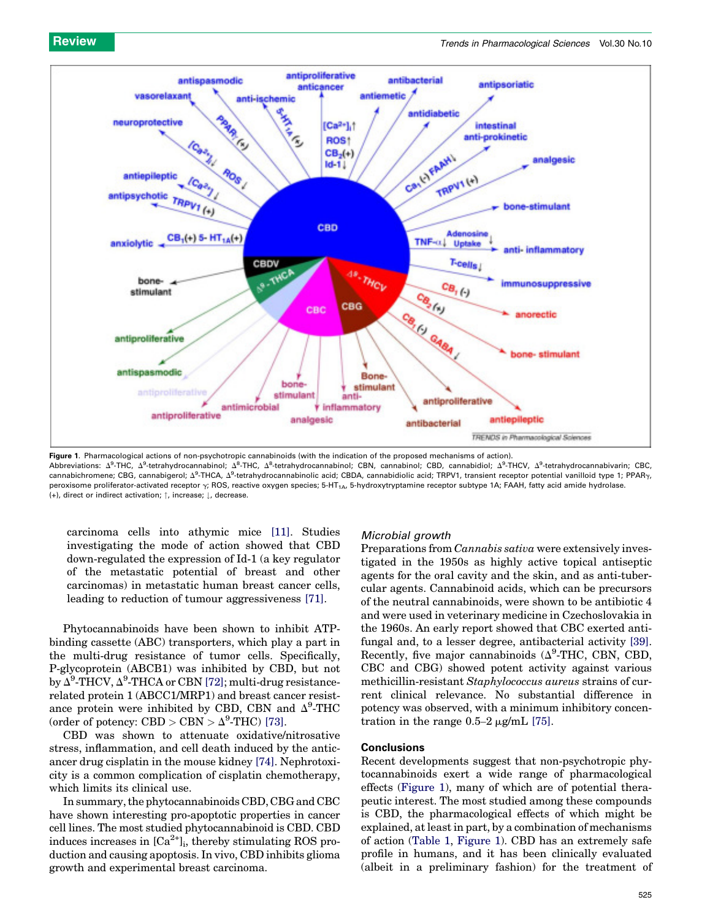

Figure 1. Pharmacological actions of non-psychotropic cannabinoids (with the indication of the proposed mechanisms of action). Abbreviations:  $\Delta^9$ -THC,  $\Delta^9$ -tetrahydrocannabinol;  $\Delta^8$ -THC,  $\Delta^8$ -tetrahydrocannabinol; CBN, cannabinol; CBD, cannabidiol;  $\Delta^9$ -THCV,  $\Delta^9$ -tetrahydrocannabivarin; CBC, cannabichromene; CBG, cannabigerol; Δ<sup>9</sup>-THCA, Δ<sup>9</sup>-tetrahydrocannabinolic acid; CBDA, cannabidiolic acid; TRPV1, transient receptor potential vanilloid type 1; PPAR<sub>Y</sub>, peroxisome proliferator-activated receptor  $\gamma$ ; ROS, reactive oxygen species; 5-HT<sub>1A</sub>, 5-hydroxytryptamine receptor subtype 1A; FAAH, fatty acid amide hydrolase. (+), direct or indirect activation;  $\uparrow$ , increase;  $\downarrow$ , decrease.

carcinoma cells into athymic mice [11]. Studies investigating the mode of action showed that CBD down-regulated the expression of Id-1 (a key regulator of the metastatic potential of breast and other carcinomas) in metastatic human breast cancer cells, leading to reduction of tumour aggressiveness [71].

Phytocannabinoids have been shown to inhibit ATPbinding cassette (ABC) transporters, which play a part in the multi-drug resistance of tumor cells. Specifically, P-glycoprotein (ABCB1) was inhibited by CBD, but not by  $\Delta^9\text{-THCV}, \Delta^9\text{-THCA}$  or CBN [72]; multi-drug resistancerelated protein 1 (ABCC1/MRP1) and breast cancer resistance protein were inhibited by CBD, CBN and  $\Delta^9$ -THC (order of potency: CBD > CBN >  $\Delta^9$ -THC) [73].

CBD was shown to attenuate oxidative/nitrosative stress, inflammation, and cell death induced by the anticancer drug cisplatin in the mouse kidney [74]. Nephrotoxicity is a common complication of cisplatin chemotherapy, which limits its clinical use.

In summary, the phytocannabinoids CBD, CBG and CBC have shown interesting pro-apoptotic properties in cancer cell lines. The most studied phytocannabinoid is CBD. CBD induces increases in  $\lbrack Ca^{2+} \rbrack_i$ , thereby stimulating ROS production and causing apoptosis. In vivo, CBD inhibits glioma growth and experimental breast carcinoma.

# Microbial growth

Preparations from *Cannabis sativa* were extensively investigated in the 1950s as highly active topical antiseptic agents for the oral cavity and the skin, and as anti-tubercular agents. Cannabinoid acids, which can be precursors of the neutral cannabinoids, were shown to be antibiotic 4 and were used in veterinary medicine in Czechoslovakia in the 1960s. An early report showed that CBC exerted antifungal and, to a lesser degree, antibacterial activity [39]. Recently, five major cannabinoids  $(\Delta^9\text{-THC, CBN, CBD,}$ CBC and CBG) showed potent activity against various methicillin-resistant *Staphylococcus aureus* strains of current clinical relevance. No substantial difference in potency was observed, with a minimum inhibitory concentration in the range  $0.5-2 \mu g/mL$  [75].

# **Conclusions**

Recent developments suggest that non-psychotropic phytocannabinoids exert a wide range of pharmacological effects (Figure 1), many of which are of potential therapeutic interest. The most studied among these compounds is CBD, the pharmacological effects of which might be explained, at least in part, by a combination of mechanisms of action (Table 1, Figure 1). CBD has an extremely safe profile in humans, and it has been clinically evaluated (albeit in a preliminary fashion) for the treatment of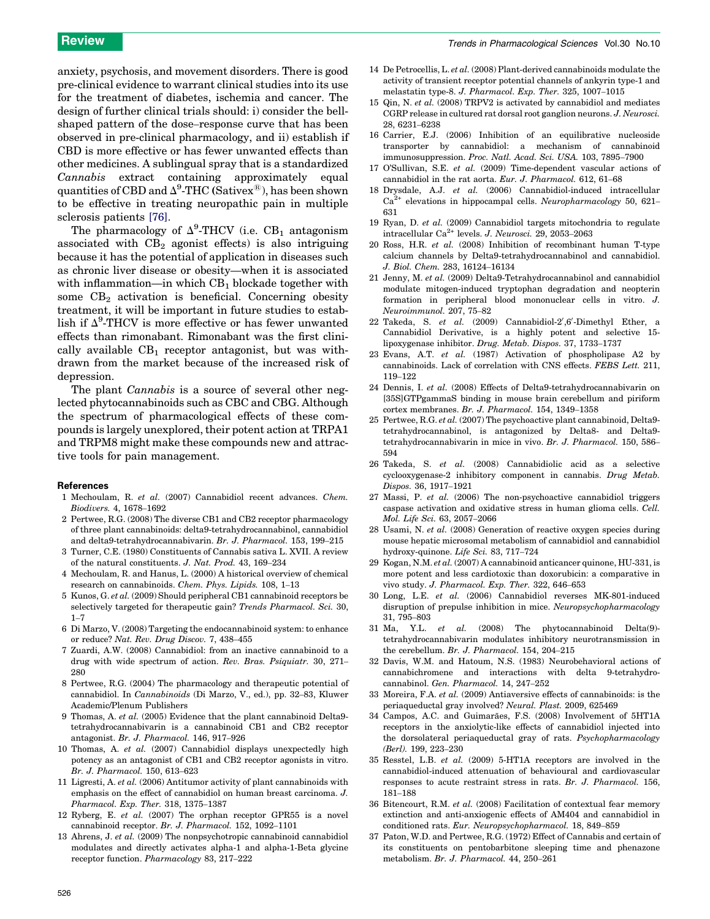anxiety, psychosis, and movement disorders. There is good pre-clinical evidence to warrant clinical studies into its use for the treatment of diabetes, ischemia and cancer. The design of further clinical trials should: i) consider the bellshaped pattern of the dose–response curve that has been observed in pre-clinical pharmacology, and ii) establish if CBD is more effective or has fewer unwanted effects than other medicines. A sublingual spray that is a standardized *Cannabis* extract containing approximately equal quantities of CBD and  $\Delta^9\text{-THC}$  (Sativex $^\circledR$ ), has been shown to be effective in treating neuropathic pain in multiple sclerosis patients [76].

The pharmacology of  $\Delta^9$ -THCV (i.e. CB<sub>1</sub> antagonism associated with  $CB_2$  agonist effects) is also intriguing because it has the potential of application in diseases such as chronic liver disease or obesity—when it is associated with inflammation—in which  $CB<sub>1</sub>$  blockade together with some  $CB<sub>2</sub>$  activation is beneficial. Concerning obesity treatment, it will be important in future studies to establish if  $\Delta^9$ -THCV is more effective or has fewer unwanted effects than rimonabant. Rimonabant was the first clinically available  $CB_1$  receptor antagonist, but was withdrawn from the market because of the increased risk of depression.

The plant *Cannabis* is a source of several other neglected phytocannabinoids such as CBC and CBG. Although the spectrum of pharmacological effects of these compounds is largely unexplored, their potent action at TRPA1 and TRPM8 might make these compounds new and attractive tools for pain management.

# References

- 1 Mechoulam, R. *et al.* (2007) Cannabidiol recent advances. *Chem. Biodivers.* 4, 1678–1692
- 2 Pertwee, R.G. (2008) The diverse CB1 and CB2 receptor pharmacology of three plant cannabinoids: delta9-tetrahydrocannabinol, cannabidiol and delta9-tetrahydrocannabivarin. *Br. J. Pharmacol.* 153, 199–215
- 3 Turner, C.E. (1980) Constituents of Cannabis sativa L. XVII. A review of the natural constituents. *J. Nat. Prod.* 43, 169–234
- 4 Mechoulam, R. and Hanus, L. (2000) A historical overview of chemical research on cannabinoids. *Chem. Phys. Lipids.* 108, 1–13
- 5 Kunos, G. *et al.* (2009) Should peripheral CB1 cannabinoid receptors be selectively targeted for therapeutic gain? *Trends Pharmacol. Sci.* 30,  $1 - 7$
- 6 Di Marzo, V. (2008) Targeting the endocannabinoid system: to enhance or reduce? *Nat. Rev. Drug Discov.* 7, 438–455
- 7 Zuardi, A.W. (2008) Cannabidiol: from an inactive cannabinoid to a drug with wide spectrum of action. *Rev. Bras. Psiquiatr.* 30, 271– 280
- 8 Pertwee, R.G. (2004) The pharmacology and therapeutic potential of cannabidiol. In *Cannabinoids* (Di Marzo, V., ed.), pp. 32–83, Kluwer Academic/Plenum Publishers
- 9 Thomas, A. *et al.* (2005) Evidence that the plant cannabinoid Delta9 tetrahydrocannabivarin is a cannabinoid CB1 and CB2 receptor antagonist. *Br. J. Pharmacol.* 146, 917–926
- 10 Thomas, A. *et al.* (2007) Cannabidiol displays unexpectedly high potency as an antagonist of CB1 and CB2 receptor agonists in vitro. *Br. J. Pharmacol.* 150, 613–623
- 11 Ligresti, A. *et al.* (2006) Antitumor activity of plant cannabinoids with emphasis on the effect of cannabidiol on human breast carcinoma. *J. Pharmacol. Exp. Ther.* 318, 1375–1387
- 12 Ryberg, E. *et al.* (2007) The orphan receptor GPR55 is a novel cannabinoid receptor. *Br. J. Pharmacol.* 152, 1092–1101
- 13 Ahrens, J. *et al.* (2009) The nonpsychotropic cannabinoid cannabidiol modulates and directly activates alpha-1 and alpha-1-Beta glycine receptor function. *Pharmacology* 83, 217–222
- 14 De Petrocellis, L. *et al.* (2008) Plant-derived cannabinoids modulate the activity of transient receptor potential channels of ankyrin type-1 and melastatin type-8. *J. Pharmacol. Exp. Ther.* 325, 1007–1015
- 15 Qin, N. *et al.* (2008) TRPV2 is activated by cannabidiol and mediates CGRP release in cultured rat dorsal root ganglion neurons. *J. Neurosci.* 28, 6231–6238
- 16 Carrier, E.J. (2006) Inhibition of an equilibrative nucleoside transporter by cannabidiol: a mechanism of cannabinoid immunosuppression. *Proc. Natl. Acad. Sci. USA.* 103, 7895–7900
- 17 O'Sullivan, S.E. *et al.* (2009) Time-dependent vascular actions of cannabidiol in the rat aorta. *Eur. J. Pharmacol.* 612, 61–68
- 18 Drysdale, A.J. *et al.* (2006) Cannabidiol-induced intracellular Ca2+ elevations in hippocampal cells. *Neuropharmacology* 50, 621– 631
- 19 Ryan, D. *et al.* (2009) Cannabidiol targets mitochondria to regulate intracellular Ca2+ levels. *J. Neurosci.* 29, 2053–2063
- 20 Ross, H.R. *et al.* (2008) Inhibition of recombinant human T-type calcium channels by Delta9-tetrahydrocannabinol and cannabidiol. *J. Biol. Chem.* 283, 16124–16134
- 21 Jenny, M. *et al.* (2009) Delta9-Tetrahydrocannabinol and cannabidiol modulate mitogen-induced tryptophan degradation and neopterin formation in peripheral blood mononuclear cells in vitro. *J. Neuroimmunol.* 207, 75–82
- 22 Takeda, S. et al. (2009) Cannabidiol-2',6'-Dimethyl Ether, a Cannabidiol Derivative, is a highly potent and selective 15 lipoxygenase inhibitor. *Drug. Metab. Dispos.* 37, 1733–1737
- 23 Evans, A.T. *et al.* (1987) Activation of phospholipase A2 by cannabinoids. Lack of correlation with CNS effects. *FEBS Lett.* 211, 119–122
- 24 Dennis, I. *et al.* (2008) Effects of Delta9-tetrahydrocannabivarin on [35S]GTPgammaS binding in mouse brain cerebellum and piriform cortex membranes. *Br. J. Pharmacol.* 154, 1349–1358
- 25 Pertwee, R.G. *et al.* (2007) The psychoactive plant cannabinoid, Delta9 tetrahydrocannabinol, is antagonized by Delta8- and Delta9 tetrahydrocannabivarin in mice in vivo. *Br. J. Pharmacol.* 150, 586– 594
- 26 Takeda, S. *et al.* (2008) Cannabidiolic acid as a selective cyclooxygenase-2 inhibitory component in cannabis. *Drug Metab. Dispos.* 36, 1917–1921
- 27 Massi, P. *et al.* (2006) The non-psychoactive cannabidiol triggers caspase activation and oxidative stress in human glioma cells. *Cell. Mol. Life Sci.* 63, 2057–2066
- 28 Usami, N. *et al.* (2008) Generation of reactive oxygen species during mouse hepatic microsomal metabolism of cannabidiol and cannabidiol hydroxy-quinone. *Life Sci.* 83, 717–724
- 29 Kogan, N.M. *et al.* (2007) A cannabinoid anticancer quinone, HU-331, is more potent and less cardiotoxic than doxorubicin: a comparative in vivo study. *J. Pharmacol. Exp. Ther.* 322, 646–653
- 30 Long, L.E. *et al.* (2006) Cannabidiol reverses MK-801-induced disruption of prepulse inhibition in mice. *Neuropsychopharmacology* 31, 795–803
- 31 Ma, Y.L. *et al.* (2008) The phytocannabinoid Delta(9) tetrahydrocannabivarin modulates inhibitory neurotransmission in the cerebellum. *Br. J. Pharmacol.* 154, 204–215
- 32 Davis, W.M. and Hatoum, N.S. (1983) Neurobehavioral actions of cannabichromene and interactions with delta 9-tetrahydrocannabinol. *Gen. Pharmacol.* 14, 247–252
- 33 Moreira, F.A. *et al.* (2009) Antiaversive effects of cannabinoids: is the periaqueductal gray involved? *Neural. Plast.* 2009, 625469
- 34 Campos, A.C. and Guimarães, F.S. (2008) Involvement of 5HT1A receptors in the anxiolytic-like effects of cannabidiol injected into the dorsolateral periaqueductal gray of rats. *Psychopharmacology (Berl).* 199, 223–230
- 35 Resstel, L.B. *et al.* (2009) 5-HT1A receptors are involved in the cannabidiol-induced attenuation of behavioural and cardiovascular responses to acute restraint stress in rats. *Br. J. Pharmacol.* 156, 181–188
- 36 Bitencourt, R.M. *et al.* (2008) Facilitation of contextual fear memory extinction and anti-anxiogenic effects of AM404 and cannabidiol in conditioned rats. *Eur. Neuropsychopharmacol.* 18, 849–859
- 37 Paton, W.D. and Pertwee, R.G. (1972) Effect of Cannabis and certain of its constituents on pentobarbitone sleeping time and phenazone metabolism. *Br. J. Pharmacol.* 44, 250–261